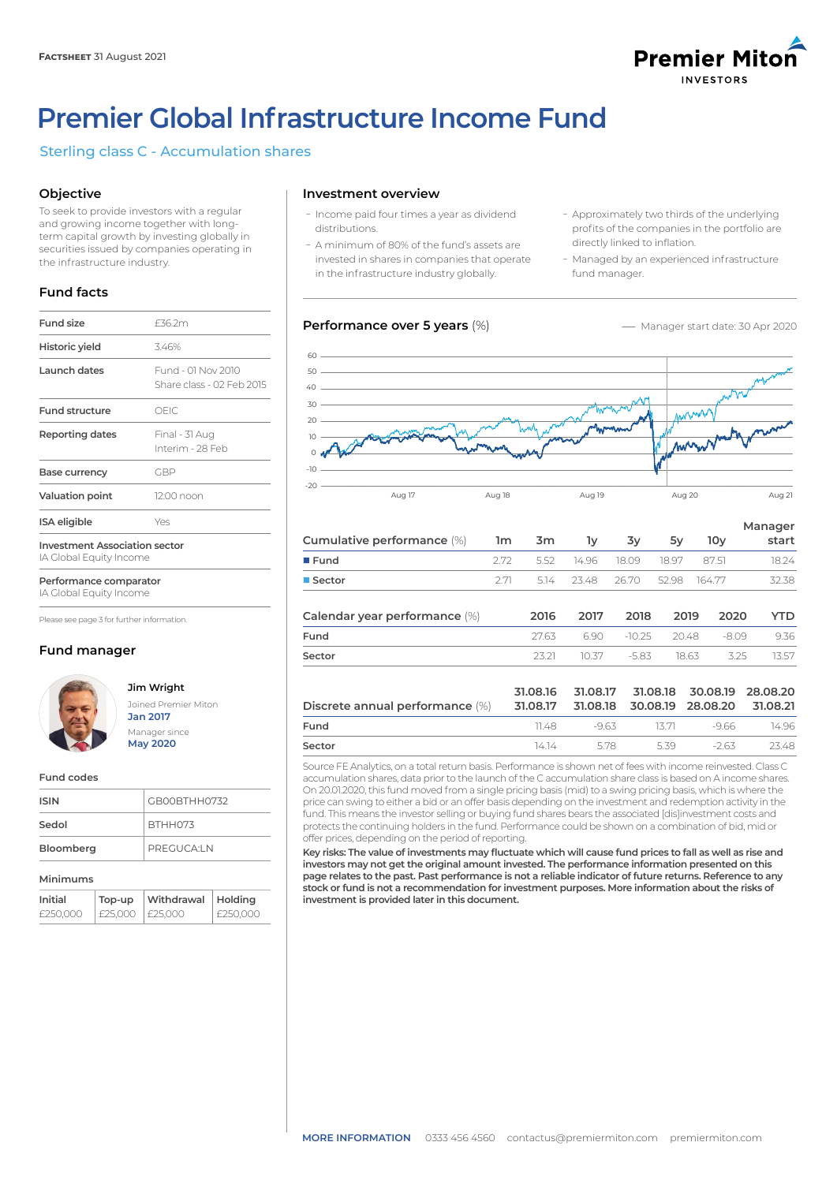

# **Premier Global Infrastructure Income Fund**

# Sterling class C - Accumulation shares

# **Objective**

To seek to provide investors with a regular and growing income together with longterm capital growth by investing globally in securities issued by companies operating in the infrastructure industry.

# **Fund facts**

| <b>Fund size</b>                                                | £36.2m                                          |  |  |  |
|-----------------------------------------------------------------|-------------------------------------------------|--|--|--|
| Historic yield                                                  | 3.46%                                           |  |  |  |
| Launch dates                                                    | Fund - 01 Nov 2010<br>Share class - 02 Feb 2015 |  |  |  |
| <b>Fund structure</b>                                           | OFIC.                                           |  |  |  |
| Reporting dates                                                 | Final - 31 Aug<br>Interim - 28 Feb              |  |  |  |
| Base currency                                                   | GBP                                             |  |  |  |
| <b>Valuation point</b>                                          | 12:00 noon                                      |  |  |  |
| ISA eligible<br>Yes                                             |                                                 |  |  |  |
| <b>Investment Association sector</b><br>IA Global Equity Income |                                                 |  |  |  |

**Performance comparator**

IA Global Equity Income

Please see page 3 for further information.

# **Fund manager**



# **Jim Wright** Joined Premier Miton

**Jan 2017** Manager since **May 2020**

#### **Fund codes**

| <b>ISIN</b> | GB00BTHH0732 |
|-------------|--------------|
| Sedol       | BTHH073      |
| Bloomberg   | PREGUCA:LN   |

#### **Minimums**

| Initial  | Top-up  | Withdrawal   Holding |          |
|----------|---------|----------------------|----------|
| £250,000 | £25,000 | I £25.000            | £250,000 |

## **Investment overview**

- Income paid four times a year as dividend distributions.
- A minimum of 80% of the fund's assets are invested in shares in companies that operate in the infrastructure industry globally.

## **Performance over 5 years (%) -** Manager start date: 30 Apr 2020

- Approximately two thirds of the underlying profits of the companies in the portfolio are directly linked to inflation.
- Managed by an experienced infrastructure fund manager.



| Cumulative performance (%) 1m 3m |     | $\mathbf{1} \mathbf{v}$ | 3y                            | 5v | 10v | Manager<br>start |
|----------------------------------|-----|-------------------------|-------------------------------|----|-----|------------------|
| $I$ Fund                         | 272 |                         | 5.52 14.96 18.09 18.97 87.51  |    |     | 18.24            |
| ■ Sector                         | 271 |                         | 5.14 23.48 26.70 52.98 164.77 |    |     | 32.38            |
|                                  |     |                         |                               |    |     |                  |

| Calendar year performance (%) | 2016  | 2017 | 2018 | 2019 | - 2020                      | <b>YTD</b> |
|-------------------------------|-------|------|------|------|-----------------------------|------------|
| Fund                          | 2763  |      |      |      | 6.90 - 10.25 - 20.48 - 8.09 | 9.36       |
| Sector                        | 23.21 |      |      |      | 10.37 - 5.83 1.8.63 3.25    | 13.57      |

|                                                                              |       |      |     | 31.08.16 31.08.17 31.08.18 30.08.19 28.08.20 |         |
|------------------------------------------------------------------------------|-------|------|-----|----------------------------------------------|---------|
| Discrete annual performance (%) 31.08.17 31.08.18 30.08.19 28.08.20 31.08.21 |       |      |     |                                              |         |
| Fund                                                                         |       |      |     | $11\,48$ -9.63 13.71 -9.66                   | 14 96   |
| Sector                                                                       | 14 14 | 5.78 | 539 | $-263$                                       | - 23.48 |

Source FE Analytics, on a total return basis. Performance is shown net of fees with income reinvested. Class C accumulation shares, data prior to the launch of the C accumulation share class is based on A income shares. On 20.01.2020, this fund moved from a single pricing basis (mid) to a swing pricing basis, which is where the price can swing to either a bid or an offer basis depending on the investment and redemption activity in the fund. This means the investor selling or buying fund shares bears the associated [dis]investment costs and protects the continuing holders in the fund. Performance could be shown on a combination of bid, mid or offer prices, depending on the period of reporting.

**Key risks: The value of investments may fluctuate which will cause fund prices to fall as well as rise and investors may not get the original amount invested. The performance information presented on this page relates to the past. Past performance is not a reliable indicator of future returns. Reference to any stock or fund is not a recommendation for investment purposes. More information about the risks of investment is provided later in this document.**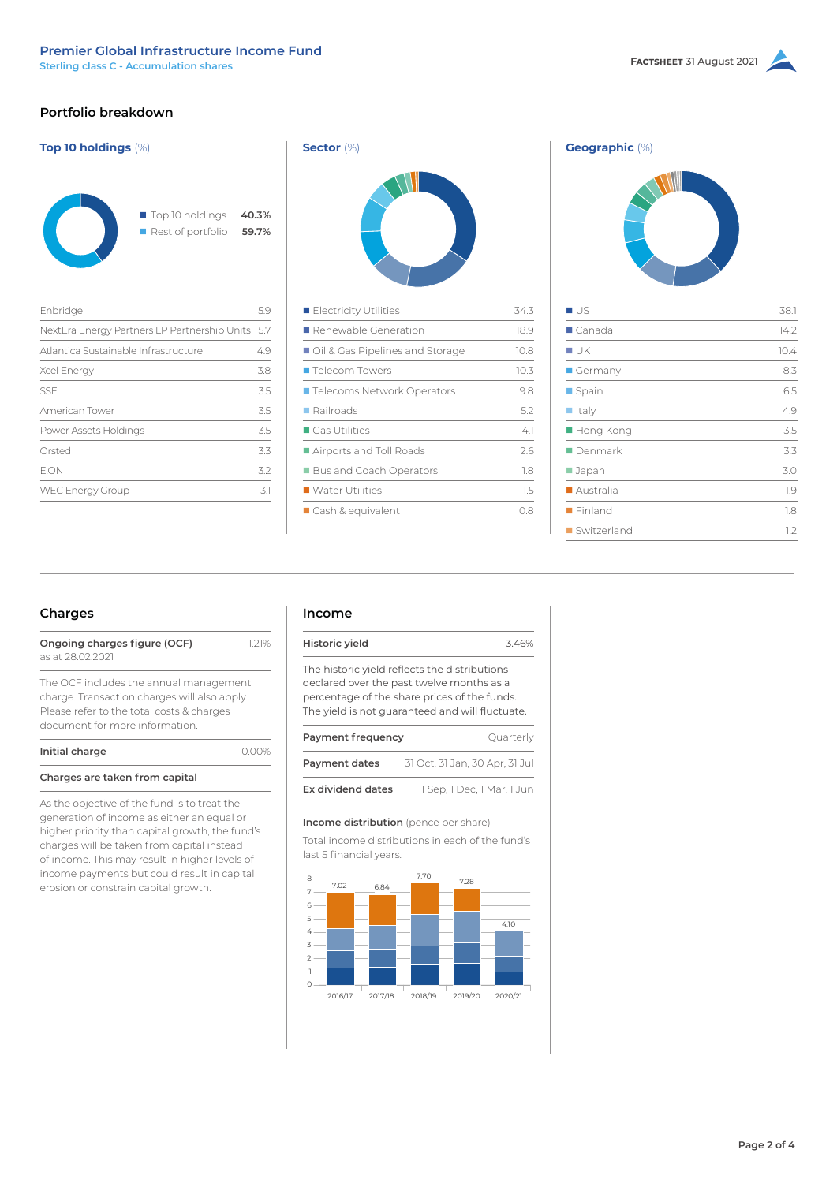# **Portfolio breakdown**







| $\blacksquare$ Canada<br>$\blacksquare$ UK<br>$\blacksquare$ Germany<br>■ Spain<br>$\blacksquare$ Italy<br>■ Hong Kong<br>$\blacksquare$ Denmark<br>■ Japan<br>■ Australia<br>$\blacksquare$ Finland<br>Switzerland | ∎∪s | 38.1 |
|---------------------------------------------------------------------------------------------------------------------------------------------------------------------------------------------------------------------|-----|------|
|                                                                                                                                                                                                                     |     | 14.2 |
|                                                                                                                                                                                                                     |     | 10.4 |
|                                                                                                                                                                                                                     |     | 8.3  |
|                                                                                                                                                                                                                     |     | 6.5  |
|                                                                                                                                                                                                                     |     | 49   |
|                                                                                                                                                                                                                     |     | 3.5  |
|                                                                                                                                                                                                                     |     | 3.3  |
|                                                                                                                                                                                                                     |     | 3.0  |
|                                                                                                                                                                                                                     |     | 1.9  |
|                                                                                                                                                                                                                     |     | 1.8  |
|                                                                                                                                                                                                                     |     | 1.2  |

# **Charges**

| Ongoing charges figure (OCF) | 1.21% |
|------------------------------|-------|
| as at 28.02.2021             |       |

The OCF includes the annual management charge. Transaction charges will also apply. Please refer to the total costs & charges document for more information.

**Initial charge 0.00%** 

## **Charges are taken from capital**

As the objective of the fund is to treat the generation of income as either an equal or higher priority than capital growth, the fund's charges will be taken from capital instead of income. This may result in higher levels of income payments but could result in capital erosion or constrain capital growth.

## **Income**

| Historic yield                                  | 3.46% |
|-------------------------------------------------|-------|
| The historic yield reflects the distributions   |       |
| declared over the past twelve months as a       |       |
| percentage of the share prices of the funds.    |       |
| The yield is not guaranteed and will fluctuate. |       |
|                                                 |       |

| Payment frequency | Quarterly                      |
|-------------------|--------------------------------|
| Payment dates     | 31 Oct, 31 Jan, 30 Apr, 31 Jul |
| Ex dividend dates | 1 Sep, 1 Dec, 1 Mar, 1 Jun     |

## **Income distribution** (pence per share)

Total income distributions in each of the fund's last 5 financial years.

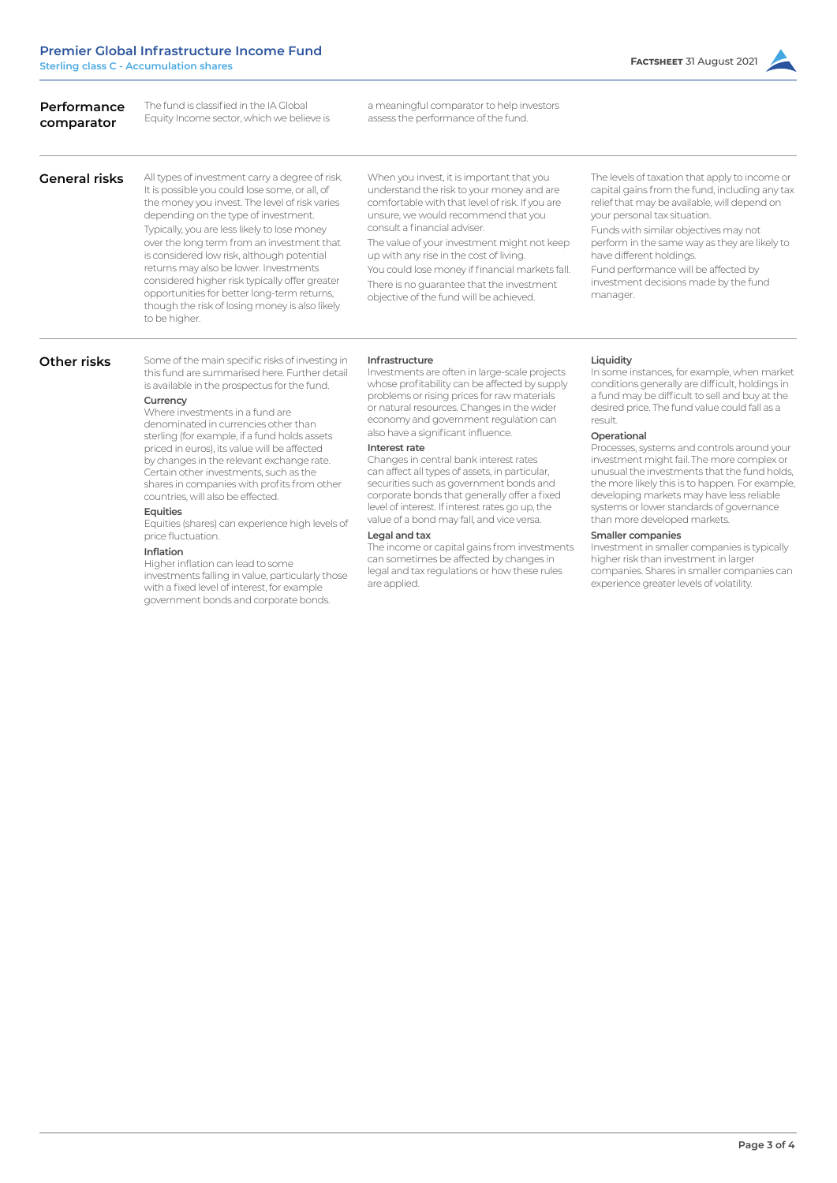| Performance<br>comparator | The fund is classified in the IA Global<br>Equity Income sector, which we believe is                                                                                                                                                                                                                                                                                                                                                                                                                                                                                                                                                                                                                                                                                                                          | a meaningful comparator to help investors<br>assess the performance of the fund.                                                                                                                                                                                                                                                                                                                                                                                                                                                                                                                                                                                                                                                                                                 |                                                                                                                                                                                                                                                                                                                                                                                                                                                                                                                                                                                                                                                                                                                                                                                  |
|---------------------------|---------------------------------------------------------------------------------------------------------------------------------------------------------------------------------------------------------------------------------------------------------------------------------------------------------------------------------------------------------------------------------------------------------------------------------------------------------------------------------------------------------------------------------------------------------------------------------------------------------------------------------------------------------------------------------------------------------------------------------------------------------------------------------------------------------------|----------------------------------------------------------------------------------------------------------------------------------------------------------------------------------------------------------------------------------------------------------------------------------------------------------------------------------------------------------------------------------------------------------------------------------------------------------------------------------------------------------------------------------------------------------------------------------------------------------------------------------------------------------------------------------------------------------------------------------------------------------------------------------|----------------------------------------------------------------------------------------------------------------------------------------------------------------------------------------------------------------------------------------------------------------------------------------------------------------------------------------------------------------------------------------------------------------------------------------------------------------------------------------------------------------------------------------------------------------------------------------------------------------------------------------------------------------------------------------------------------------------------------------------------------------------------------|
| <b>General risks</b>      | All types of investment carry a degree of risk.<br>It is possible you could lose some, or all, of<br>the money you invest. The level of risk varies<br>depending on the type of investment.<br>Typically, you are less likely to lose money<br>over the long term from an investment that<br>is considered low risk, although potential<br>returns may also be lower. Investments<br>considered higher risk typically offer greater<br>opportunities for better long-term returns,<br>though the risk of losing money is also likely<br>to be higher.                                                                                                                                                                                                                                                         | When you invest, it is important that you<br>understand the risk to your money and are<br>comfortable with that level of risk. If you are<br>unsure, we would recommend that you<br>consult a financial adviser.<br>The value of your investment might not keep<br>up with any rise in the cost of living.<br>You could lose money if financial markets fall.<br>There is no guarantee that the investment<br>objective of the fund will be achieved.                                                                                                                                                                                                                                                                                                                            | The levels of taxation that apply to income or<br>capital gains from the fund, including any tax<br>relief that may be available, will depend on<br>your personal tax situation.<br>Funds with similar objectives may not<br>perform in the same way as they are likely to<br>have different holdings.<br>Fund performance will be affected by<br>investment decisions made by the fund<br>manager.                                                                                                                                                                                                                                                                                                                                                                              |
| Other risks               | Some of the main specific risks of investing in<br>this fund are summarised here. Further detail<br>is available in the prospectus for the fund.<br>Currency<br>Where investments in a fund are<br>denominated in currencies other than<br>sterling (for example, if a fund holds assets<br>priced in euros), its value will be affected<br>by changes in the relevant exchange rate.<br>Certain other investments, such as the<br>shares in companies with profits from other<br>countries, will also be effected.<br>Equities<br>Equities (shares) can experience high levels of<br>price fluctuation.<br><b>Inflation</b><br>Higher inflation can lead to some<br>investments falling in value, particularly those<br>with a fixed level of interest, for example<br>government bonds and corporate bonds. | Infrastructure<br>Investments are often in large-scale projects<br>whose profitability can be affected by supply<br>problems or rising prices for raw materials<br>or natural resources. Changes in the wider<br>economy and government regulation can<br>also have a significant influence.<br>Interest rate<br>Changes in central bank interest rates<br>can affect all types of assets, in particular,<br>securities such as government bonds and<br>corporate bonds that generally offer a fixed<br>level of interest. If interest rates go up, the<br>value of a bond may fall, and vice versa.<br>Legal and tax<br>The income or capital gains from investments<br>can sometimes be affected by changes in<br>legal and tax regulations or how these rules<br>are applied. | Liquidity<br>In some instances, for example, when market<br>conditions generally are difficult, holdings in<br>a fund may be difficult to sell and buy at the<br>desired price. The fund value could fall as a<br>result.<br>Operational<br>Processes, systems and controls around your<br>investment might fail. The more complex or<br>unusual the investments that the fund holds,<br>the more likely this is to happen. For example,<br>developing markets may have less reliable<br>systems or lower standards of governance<br>than more developed markets.<br><b>Smaller companies</b><br>Investment in smaller companies is typically<br>higher risk than investment in larger<br>companies. Shares in smaller companies can<br>experience greater levels of volatility. |